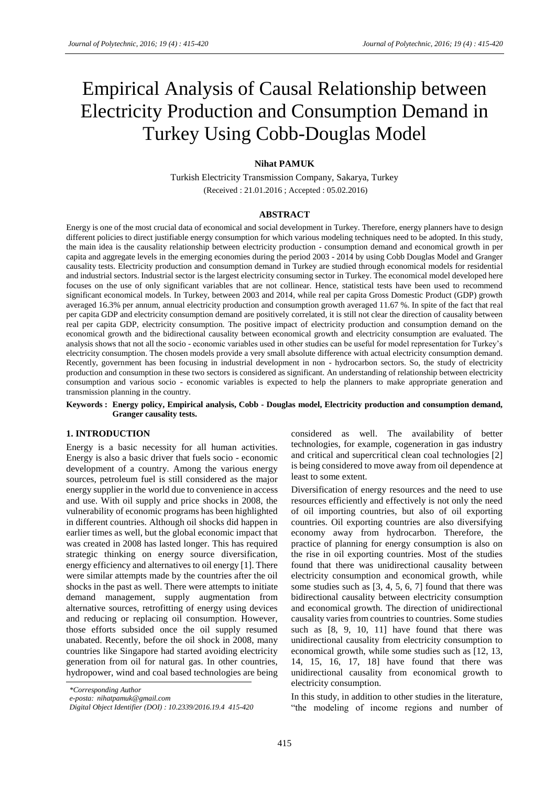# Empirical Analysis of Causal Relationship between Electricity Production and Consumption Demand in Turkey Using Cobb-Douglas Model

#### **Nihat PAMUK**

Turkish Electricity Transmission Company, Sakarya, Turkey (Received : 21.01.2016 ; Accepted : 05.02.2016)

#### **ABSTRACT**

Energy is one of the most crucial data of economical and social development in Turkey. Therefore, energy planners have to design different policies to direct justifiable energy consumption for which various modeling techniques need to be adopted. In this study, the main idea is the causality relationship between electricity production - consumption demand and economical growth in per capita and aggregate levels in the emerging economies during the period 2003 - 2014 by using Cobb Douglas Model and Granger causality tests. Electricity production and consumption demand in Turkey are studied through economical models for residential and industrial sectors. Industrial sector is the largest electricity consuming sector in Turkey. The economical model developed here focuses on the use of only significant variables that are not collinear. Hence, statistical tests have been used to recommend significant economical models. In Turkey, between 2003 and 2014, while real per capita Gross Domestic Product (GDP) growth averaged 16.3% per annum, annual electricity production and consumption growth averaged 11.67 %. In spite of the fact that real per capita GDP and electricity consumption demand are positively correlated, it is still not clear the direction of causality between real per capita GDP, electricity consumption. The positive impact of electricity production and consumption demand on the economical growth and the bidirectional causality between economical growth and electricity consumption are evaluated. The analysis shows that not all the socio - economic variables used in other studies can be useful for model representation for Turkey's electricity consumption. The chosen models provide a very small absolute difference with actual electricity consumption demand. Recently, government has been focusing in industrial development in non - hydrocarbon sectors. So, the study of electricity production and consumption in these two sectors is considered as significant. An understanding of relationship between electricity consumption and various socio - economic variables is expected to help the planners to make appropriate generation and transmission planning in the country.

#### **Keywords : Energy policy, Empirical analysis, Cobb - Douglas model, Electricity production and consumption demand, Granger causality tests.**

#### **1. INTRODUCTION**

Energy is a basic necessity for all human activities. Energy is also a basic driver that fuels socio - economic development of a country. Among the various energy sources, petroleum fuel is still considered as the major energy supplier in the world due to convenience in access and use. With oil supply and price shocks in 2008, the vulnerability of economic programs has been highlighted in different countries. Although oil shocks did happen in earlier times as well, but the global economic impact that was created in 2008 has lasted longer. This has required strategic thinking on energy source diversification, energy efficiency and alternatives to oil energy [1]. There were similar attempts made by the countries after the oil shocks in the past as well. There were attempts to initiate demand management, supply augmentation from alternative sources, retrofitting of energy using devices and reducing or replacing oil consumption. However, those efforts subsided once the oil supply resumed unabated. Recently, before the oil shock in 2008, many countries like Singapore had started avoiding electricity generation from oil for natural gas. In other countries, hydropower, wind and coal based technologies are being considered as well. The availability of better technologies, for example, cogeneration in gas industry and critical and supercritical clean coal technologies [2] is being considered to move away from oil dependence at least to some extent.

Diversification of energy resources and the need to use resources efficiently and effectively is not only the need of oil importing countries, but also of oil exporting countries. Oil exporting countries are also diversifying economy away from hydrocarbon. Therefore, the practice of planning for energy consumption is also on the rise in oil exporting countries. Most of the studies found that there was unidirectional causality between electricity consumption and economical growth, while some studies such as [3, 4, 5, 6, 7] found that there was bidirectional causality between electricity consumption and economical growth. The direction of unidirectional causality varies from countries to countries. Some studies such as [8, 9, 10, 11] have found that there was unidirectional causality from electricity consumption to economical growth, while some studies such as [12, 13, 14, 15, 16, 17, 18] have found that there was unidirectional causality from economical growth to electricity consumption.

In this study, in addition to other studies in the literature, "the modeling of income regions and number of

*<sup>\*</sup>Corresponding Author*

*e-posta: nihatpamuk@gmail.com*

*Digital Object Identifier (DOI) : 10.2339/2016.19.4 415-420*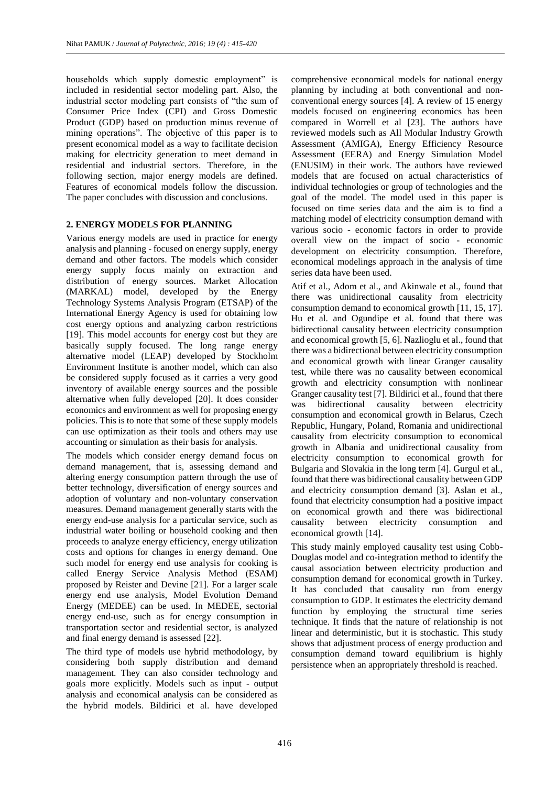households which supply domestic employment" is included in residential sector modeling part. Also, the industrial sector modeling part consists of "the sum of Consumer Price Index (CPI) and Gross Domestic Product (GDP) based on production minus revenue of mining operations". The objective of this paper is to present economical model as a way to facilitate decision making for electricity generation to meet demand in residential and industrial sectors. Therefore, in the following section, major energy models are defined. Features of economical models follow the discussion. The paper concludes with discussion and conclusions.

## **2. ENERGY MODELS FOR PLANNING**

Various energy models are used in practice for energy analysis and planning - focused on energy supply, energy demand and other factors. The models which consider energy supply focus mainly on extraction and distribution of energy sources. Market Allocation (MARKAL) model, developed by the Energy Technology Systems Analysis Program (ETSAP) of the International Energy Agency is used for obtaining low cost energy options and analyzing carbon restrictions [19]. This model accounts for energy cost but they are basically supply focused. The long range energy alternative model (LEAP) developed by Stockholm Environment Institute is another model, which can also be considered supply focused as it carries a very good inventory of available energy sources and the possible alternative when fully developed [20]. It does consider economics and environment as well for proposing energy policies. This is to note that some of these supply models can use optimization as their tools and others may use accounting or simulation as their basis for analysis.

The models which consider energy demand focus on demand management, that is, assessing demand and altering energy consumption pattern through the use of better technology, diversification of energy sources and adoption of voluntary and non-voluntary conservation measures. Demand management generally starts with the energy end-use analysis for a particular service, such as industrial water boiling or household cooking and then proceeds to analyze energy efficiency, energy utilization costs and options for changes in energy demand. One such model for energy end use analysis for cooking is called Energy Service Analysis Method (ESAM) proposed by Reister and Devine [21]. For a larger scale energy end use analysis, Model Evolution Demand Energy (MEDEE) can be used. In MEDEE, sectorial energy end-use, such as for energy consumption in transportation sector and residential sector, is analyzed and final energy demand is assessed [22].

The third type of models use hybrid methodology, by considering both supply distribution and demand management. They can also consider technology and goals more explicitly. Models such as input - output analysis and economical analysis can be considered as the hybrid models. Bildirici et al. have developed

comprehensive economical models for national energy planning by including at both conventional and nonconventional energy sources [4]. A review of 15 energy models focused on engineering economics has been compared in Worrell et al [23]. The authors have reviewed models such as All Modular Industry Growth Assessment (AMIGA), Energy Efficiency Resource Assessment (EERA) and Energy Simulation Model (ENUSIM) in their work. The authors have reviewed models that are focused on actual characteristics of individual technologies or group of technologies and the goal of the model. The model used in this paper is focused on time series data and the aim is to find a matching model of electricity consumption demand with various socio - economic factors in order to provide overall view on the impact of socio - economic development on electricity consumption. Therefore, economical modelings approach in the analysis of time series data have been used.

Atif et al., Adom et al., and Akinwale et al., found that there was unidirectional causality from electricity consumption demand to economical growth [11, 15, 17]. Hu et al. and Ogundipe et al. found that there was bidirectional causality between electricity consumption and economical growth [5, 6]. Nazlioglu et al., found that there was a bidirectional between electricity consumption and economical growth with linear Granger causality test, while there was no causality between economical growth and electricity consumption with nonlinear Granger causality test [7]. Bildirici et al., found that there was bidirectional causality between electricity consumption and economical growth in Belarus, Czech Republic, Hungary, Poland, Romania and unidirectional causality from electricity consumption to economical growth in Albania and unidirectional causality from electricity consumption to economical growth for Bulgaria and Slovakia in the long term [4]. Gurgul et al., found that there was bidirectional causality between GDP and electricity consumption demand [3]. Aslan et al., found that electricity consumption had a positive impact on economical growth and there was bidirectional causality between electricity consumption and economical growth [14].

This study mainly employed causality test using Cobb-Douglas model and co-integration method to identify the causal association between electricity production and consumption demand for economical growth in Turkey. It has concluded that causality run from energy consumption to GDP. It estimates the electricity demand function by employing the structural time series technique. It finds that the nature of relationship is not linear and deterministic, but it is stochastic. This study shows that adjustment process of energy production and consumption demand toward equilibrium is highly persistence when an appropriately threshold is reached.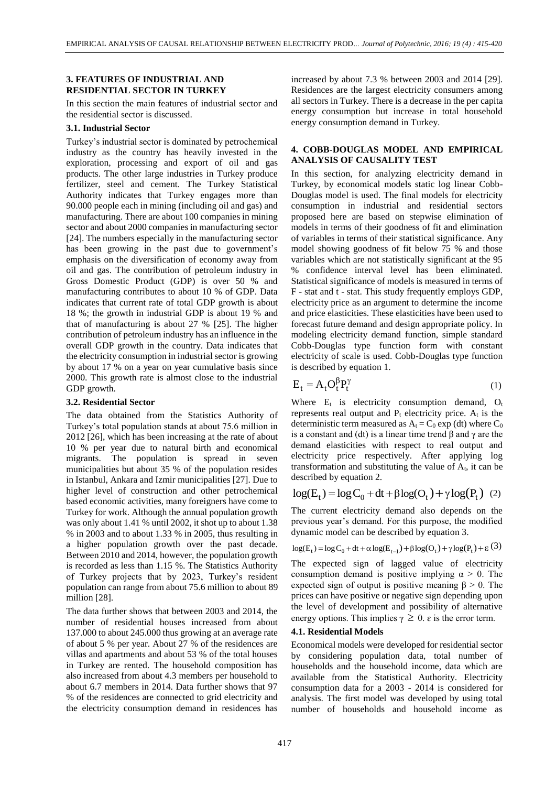#### **3. FEATURES OF INDUSTRIAL AND RESIDENTIAL SECTOR IN TURKEY**

In this section the main features of industrial sector and the residential sector is discussed.

### **3.1. Industrial Sector**

Turkey's industrial sector is dominated by petrochemical industry as the country has heavily invested in the exploration, processing and export of oil and gas products. The other large industries in Turkey produce fertilizer, steel and cement. The Turkey Statistical Authority indicates that Turkey engages more than 90.000 people each in mining (including oil and gas) and manufacturing. There are about 100 companies in mining sector and about 2000 companies in manufacturing sector [24]. The numbers especially in the manufacturing sector has been growing in the past due to government's emphasis on the diversification of economy away from oil and gas. The contribution of petroleum industry in Gross Domestic Product (GDP) is over 50 % and manufacturing contributes to about 10 % of GDP. Data indicates that current rate of total GDP growth is about 18 %; the growth in industrial GDP is about 19 % and that of manufacturing is about 27 % [25]. The higher contribution of petroleum industry has an influence in the overall GDP growth in the country. Data indicates that the electricity consumption in industrial sector is growing by about 17 % on a year on year cumulative basis since 2000. This growth rate is almost close to the industrial GDP growth.

#### **3.2. Residential Sector**

The data obtained from the Statistics Authority of Turkey's total population stands at about 75.6 million in 2012 [26], which has been increasing at the rate of about 10 % per year due to natural birth and economical migrants. The population is spread in seven municipalities but about 35 % of the population resides in Istanbul, Ankara and Izmir municipalities [27]. Due to higher level of construction and other petrochemical based economic activities, many foreigners have come to Turkey for work. Although the annual population growth was only about 1.41 % until 2002, it shot up to about 1.38 % in 2003 and to about 1.33 % in 2005, thus resulting in a higher population growth over the past decade. Between 2010 and 2014, however, the population growth is recorded as less than 1.15 %. The Statistics Authority of Turkey projects that by 2023, Turkey's resident population can range from about 75.6 million to about 89 million [28].

The data further shows that between 2003 and 2014, the number of residential houses increased from about 137.000 to about 245.000 thus growing at an average rate of about 5 % per year. About 27 % of the residences are villas and apartments and about 53 % of the total houses in Turkey are rented. The household composition has also increased from about 4.3 members per household to about 6.7 members in 2014. Data further shows that 97 % of the residences are connected to grid electricity and the electricity consumption demand in residences has increased by about 7.3 % between 2003 and 2014 [29]. Residences are the largest electricity consumers among all sectors in Turkey. There is a decrease in the per capita energy consumption but increase in total household energy consumption demand in Turkey.

### **4. COBB-DOUGLAS MODEL AND EMPIRICAL ANALYSIS OF CAUSALITY TEST**

In this section, for analyzing electricity demand in Turkey, by economical models static log linear Cobb-Douglas model is used. The final models for electricity consumption in industrial and residential sectors proposed here are based on stepwise elimination of models in terms of their goodness of fit and elimination of variables in terms of their statistical significance. Any model showing goodness of fit below 75 % and those variables which are not statistically significant at the 95 % confidence interval level has been eliminated. Statistical significance of models is measured in terms of F - stat and t - stat. This study frequently employs GDP, electricity price as an argument to determine the income and price elasticities. These elasticities have been used to forecast future demand and design appropriate policy. In modeling electricity demand function, simple standard Cobb-Douglas type function form with constant electricity of scale is used. Cobb-Douglas type function is described by equation 1.

$$
E_t = A_t O_t^{\beta} P_t^{\gamma}
$$
 (1)

Where  $E_t$  is electricity consumption demand,  $O_t$ represents real output and  $P_t$  electricity price.  $A_t$  is the deterministic term measured as  $A_t = C_0 \exp{(dt)}$  where  $C_0$ is a constant and (dt) is a linear time trend β and γ are the demand elasticities with respect to real output and electricity price respectively. After applying log transformation and substituting the value of A<sub>t</sub>, it can be described by equation 2.<br>  $log(E_t) = log C_0 + dt + \beta log(O_t) + \gamma log(P_t)$  (2) described by equation 2.

$$
log(E_t) = log C_0 + dt + \beta log(O_t) + \gamma log(P_t)
$$
 (2)

The current electricity demand also depends on the previous year's demand. For this purpose, the modified dynamic model can be described by equation 3. previous year's demand. For this purpose, the modified<br>dynamic model can be described by equation 3.<br> $log(E_t) = log C_0 + dt + \alpha log(E_{t-1}) + \beta log(O_t) + \gamma log(P_t) + \epsilon$  (3)

$$
log(E_t) = log C_0 + dt + \alpha log(E_{t-1}) + \beta log(O_t) + \gamma log(P_t) + \epsilon(3)
$$

The expected sign of lagged value of electricity consumption demand is positive implying  $\alpha > 0$ . The expected sign of output is positive meaning  $\beta > 0$ . The prices can have positive or negative sign depending upon the level of development and possibility of alternative energy options. This implies  $\gamma \geq 0$ .  $\varepsilon$  is the error term.

#### **4.1. Residential Models**

Economical models were developed for residential sector by considering population data, total number of households and the household income, data which are available from the Statistical Authority. Electricity consumption data for a 2003 - 2014 is considered for analysis. The first model was developed by using total number of households and household income as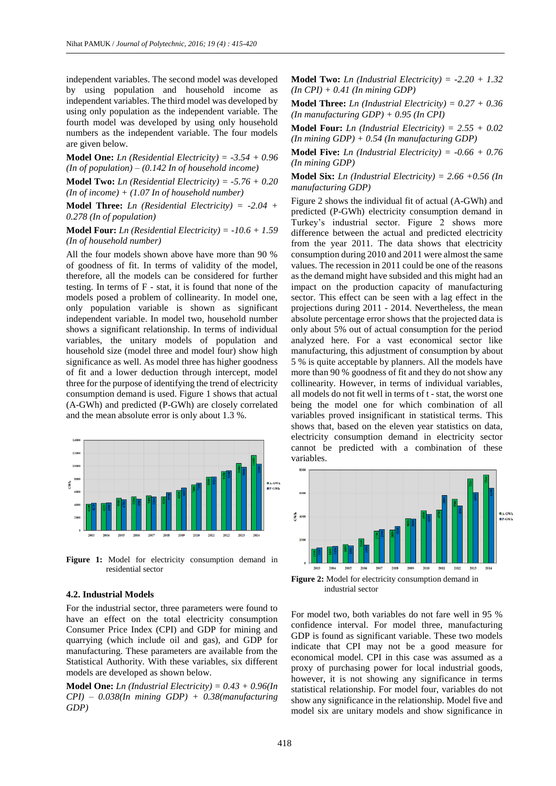independent variables. The second model was developed by using population and household income as independent variables. The third model was developed by using only population as the independent variable. The fourth model was developed by using only household numbers as the independent variable. The four models are given below.

**Model One:** *Ln (Residential Electricity) = -3.54 + 0.96 (In of population) – (0.142 In of household income)*

**Model Two:** *Ln (Residential Electricity) = -5.76 + 0.20 (In of income) + (1.07 In of household number)*

**Model Three:** *Ln (Residential Electricity) = -2.04 + 0.278 (In of population)*

**Model Four:** *Ln (Residential Electricity) = -10.6 + 1.59 (In of household number)*

All the four models shown above have more than 90 % of goodness of fit. In terms of validity of the model, therefore, all the models can be considered for further testing. In terms of F - stat, it is found that none of the models posed a problem of collinearity. In model one, only population variable is shown as significant independent variable. In model two, household number shows a significant relationship. In terms of individual variables, the unitary models of population and household size (model three and model four) show high significance as well. As model three has higher goodness of fit and a lower deduction through intercept, model three for the purpose of identifying the trend of electricity consumption demand is used. Figure 1 shows that actual (A-GWh) and predicted (P-GWh) are closely correlated and the mean absolute error is only about 1.3 %.



Figure 1: Model for electricity consumption demand in residential sector

#### **4.2. Industrial Models**

For the industrial sector, three parameters were found to have an effect on the total electricity consumption Consumer Price Index (CPI) and GDP for mining and quarrying (which include oil and gas), and GDP for manufacturing. These parameters are available from the Statistical Authority. With these variables, six different models are developed as shown below.

**Model One:** *Ln (Industrial Electricity) = 0.43 + 0.96(In CPI) – 0.038(In mining GDP) + 0.38(manufacturing GDP)*

**Model Two:** *Ln (Industrial Electricity) = -2.20 + 1.32 (In CPI) + 0.41 (In mining GDP)*

**Model Three:** *Ln (Industrial Electricity) = 0.27 + 0.36 (In manufacturing GDP) + 0.95 (In CPI)*

**Model Four:** *Ln (Industrial Electricity) = 2.55 + 0.02 (In mining GDP) + 0.54 (In manufacturing GDP)*

**Model Five:** *Ln (Industrial Electricity) = -0.66 + 0.76 (In mining GDP)*

**Model Six:** *Ln (Industrial Electricity) = 2.66 +0.56 (In manufacturing GDP)*

Figure 2 shows the individual fit of actual (A-GWh) and predicted (P-GWh) electricity consumption demand in Turkey's industrial sector. Figure 2 shows more difference between the actual and predicted electricity from the year 2011. The data shows that electricity consumption during 2010 and 2011 were almost the same values. The recession in 2011 could be one of the reasons as the demand might have subsided and this might had an impact on the production capacity of manufacturing sector. This effect can be seen with a lag effect in the projections during 2011 - 2014. Nevertheless, the mean absolute percentage error shows that the projected data is only about 5% out of actual consumption for the period analyzed here. For a vast economical sector like manufacturing, this adjustment of consumption by about 5 % is quite acceptable by planners. All the models have more than 90 % goodness of fit and they do not show any collinearity. However, in terms of individual variables, all models do not fit well in terms of t - stat, the worst one being the model one for which combination of all variables proved insignificant in statistical terms. This shows that, based on the eleven year statistics on data, electricity consumption demand in electricity sector cannot be predicted with a combination of these variables.



**Figure 2:** Model for electricity consumption demand in industrial sector

For model two, both variables do not fare well in 95 % confidence interval. For model three, manufacturing GDP is found as significant variable. These two models indicate that CPI may not be a good measure for economical model. CPI in this case was assumed as a proxy of purchasing power for local industrial goods, however, it is not showing any significance in terms statistical relationship. For model four, variables do not show any significance in the relationship. Model five and model six are unitary models and show significance in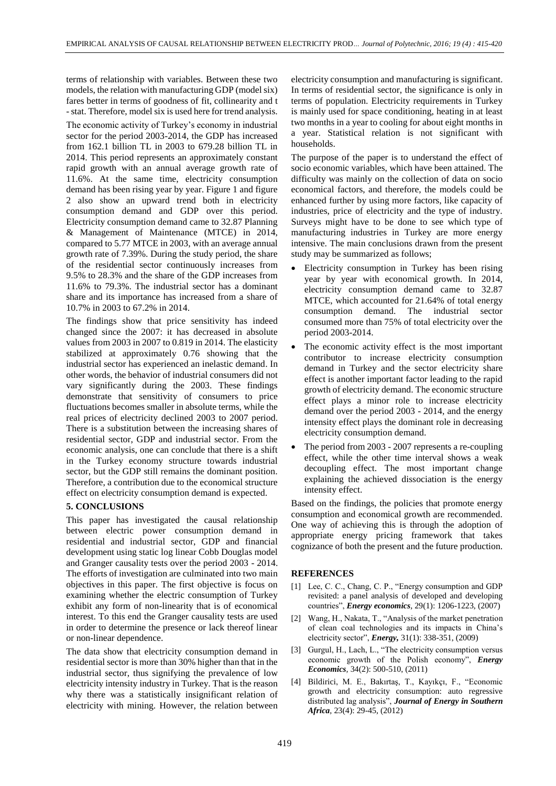terms of relationship with variables. Between these two models, the relation with manufacturing GDP (model six) fares better in terms of goodness of fit, collinearity and t -stat. Therefore, model six is used here for trend analysis.

The economic activity of Turkey's economy in industrial sector for the period 2003-2014, the GDP has increased from 162.1 billion TL in 2003 to 679.28 billion TL in 2014. This period represents an approximately constant rapid growth with an annual average growth rate of 11.6%. At the same time, electricity consumption demand has been rising year by year. Figure 1 and figure 2 also show an upward trend both in electricity consumption demand and GDP over this period. Electricity consumption demand came to 32.87 Planning & Management of Maintenance (MTCE) in 2014, compared to 5.77 MTCE in 2003, with an average annual growth rate of 7.39%. During the study period, the share of the residential sector continuously increases from 9.5% to 28.3% and the share of the GDP increases from 11.6% to 79.3%. The industrial sector has a dominant share and its importance has increased from a share of 10.7% in 2003 to 67.2% in 2014.

The findings show that price sensitivity has indeed changed since the 2007: it has decreased in absolute values from 2003 in 2007 to 0.819 in 2014. The elasticity stabilized at approximately 0.76 showing that the industrial sector has experienced an inelastic demand. In other words, the behavior of industrial consumers did not vary significantly during the 2003. These findings demonstrate that sensitivity of consumers to price fluctuations becomes smaller in absolute terms, while the real prices of electricity declined 2003 to 2007 period. There is a substitution between the increasing shares of residential sector, GDP and industrial sector. From the economic analysis, one can conclude that there is a shift in the Turkey economy structure towards industrial sector, but the GDP still remains the dominant position. Therefore, a contribution due to the economical structure effect on electricity consumption demand is expected.

## **5. CONCLUSIONS**

This paper has investigated the causal relationship between electric power consumption demand in residential and industrial sector, GDP and financial development using static log linear Cobb Douglas model and Granger causality tests over the period 2003 - 2014. The efforts of investigation are culminated into two main objectives in this paper. The first objective is focus on examining whether the electric consumption of Turkey exhibit any form of non-linearity that is of economical interest. To this end the Granger causality tests are used in order to determine the presence or lack thereof linear or non-linear dependence.

The data show that electricity consumption demand in residential sector is more than 30% higher than that in the industrial sector, thus signifying the prevalence of low electricity intensity industry in Turkey. That is the reason why there was a statistically insignificant relation of electricity with mining. However, the relation between

electricity consumption and manufacturing is significant. In terms of residential sector, the significance is only in terms of population. Electricity requirements in Turkey is mainly used for space conditioning, heating in at least two months in a year to cooling for about eight months in a year. Statistical relation is not significant with households.

The purpose of the paper is to understand the effect of socio economic variables, which have been attained. The difficulty was mainly on the collection of data on socio economical factors, and therefore, the models could be enhanced further by using more factors, like capacity of industries, price of electricity and the type of industry. Surveys might have to be done to see which type of manufacturing industries in Turkey are more energy intensive. The main conclusions drawn from the present study may be summarized as follows;

- Electricity consumption in Turkey has been rising year by year with economical growth. In 2014, electricity consumption demand came to 32.87 MTCE, which accounted for 21.64% of total energy consumption demand. The industrial sector consumed more than 75% of total electricity over the period 2003-2014.
- The economic activity effect is the most important contributor to increase electricity consumption demand in Turkey and the sector electricity share effect is another important factor leading to the rapid growth of electricity demand. The economic structure effect plays a minor role to increase electricity demand over the period 2003 - 2014, and the energy intensity effect plays the dominant role in decreasing electricity consumption demand.
- The period from 2003 2007 represents a re-coupling effect, while the other time interval shows a weak decoupling effect. The most important change explaining the achieved dissociation is the energy intensity effect.

Based on the findings, the policies that promote energy consumption and economical growth are recommended. One way of achieving this is through the adoption of appropriate energy pricing framework that takes cognizance of both the present and the future production.

## **REFERENCES**

- [1] Lee, C. C., Chang, C. P., "Energy consumption and GDP revisited: a panel analysis of developed and developing countries", *Energy economics,* 29(1): 1206-1223, (2007)
- [2] Wang, H., Nakata, T., "Analysis of the market penetration of clean coal technologies and its impacts in China's electricity sector", *Energy,* 31(1): 338-351, (2009)
- [3] Gurgul, H., Lach, L., "The electricity consumption versus economic growth of the Polish economy", *Energy Economics,* 34(2): 500-510, (2011)
- [4] Bildirici, M. E., Bakırtaş, T., Kayıkçı, F., "Economic growth and electricity consumption: auto regressive distributed lag analysis", *Journal of Energy in Southern Africa,* 23(4): 29-45, (2012)